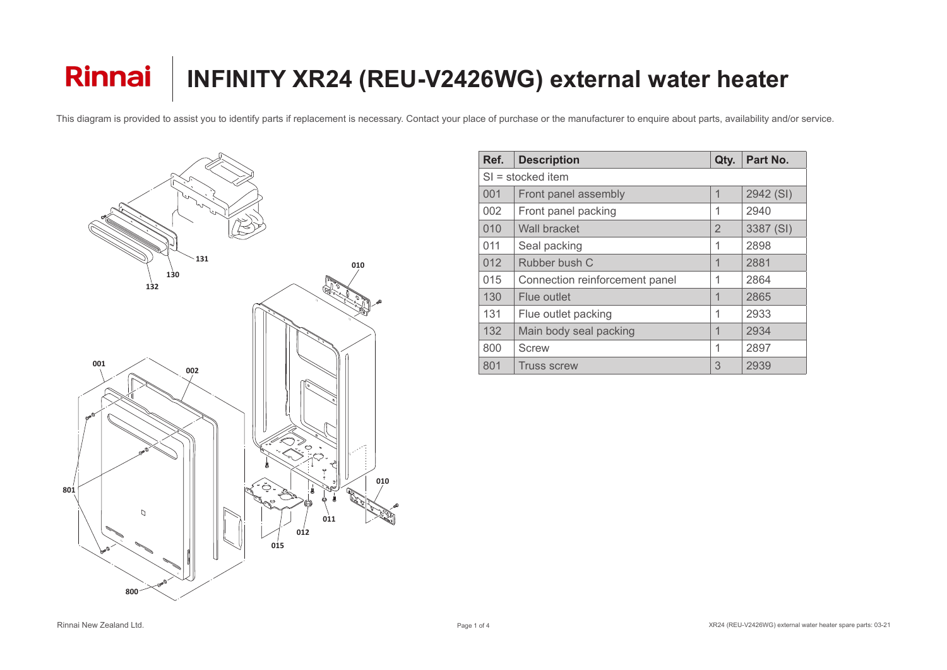

| Ref. | <b>Description</b>             | Qty.           | Part No.  |  |  |
|------|--------------------------------|----------------|-----------|--|--|
|      | $SI =$ stocked item            |                |           |  |  |
| 001  | Front panel assembly           | 1              | 2942 (SI) |  |  |
| 002  | Front panel packing            | $\mathbf 1$    | 2940      |  |  |
| 010  | <b>Wall bracket</b>            | $\overline{2}$ | 3387 (SI) |  |  |
| 011  | Seal packing                   | 1              | 2898      |  |  |
| 012  | Rubber bush C                  | 1              | 2881      |  |  |
| 015  | Connection reinforcement panel |                | 2864      |  |  |
| 130  | Flue outlet                    | 1              | 2865      |  |  |
| 131  | Flue outlet packing            | 1              | 2933      |  |  |
| 132  | Main body seal packing         | 1              | 2934      |  |  |
| 800  | <b>Screw</b>                   | 1              | 2897      |  |  |
| 801  | <b>Truss screw</b>             | 3              | 2939      |  |  |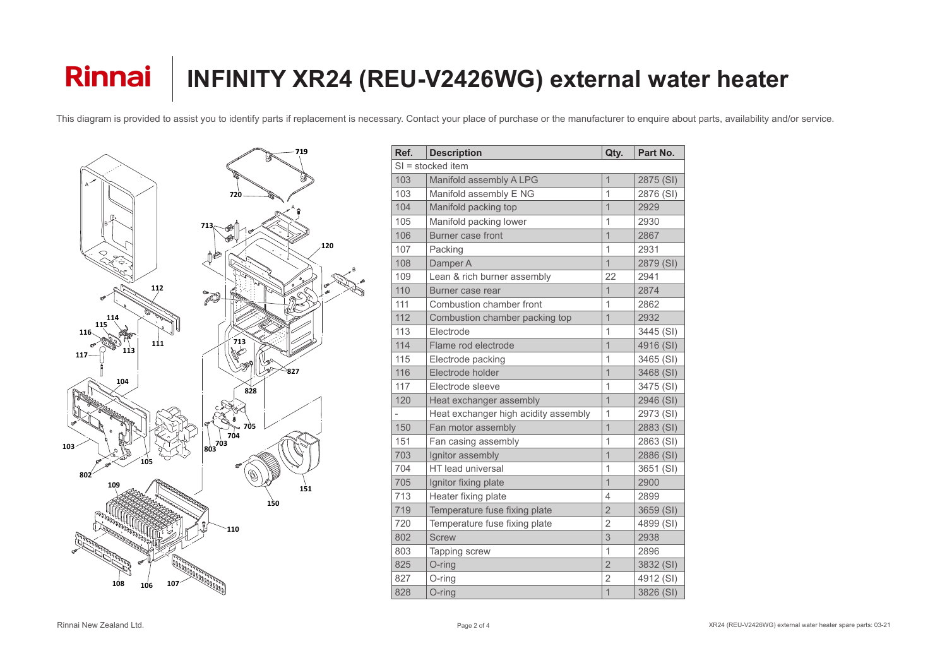

| Ref.                | <b>Description</b>                   | Qty.           | Part No.  |  |
|---------------------|--------------------------------------|----------------|-----------|--|
| $SI =$ stocked item |                                      |                |           |  |
| 103                 | Manifold assembly A LPG              | $\overline{1}$ | 2875 (SI) |  |
| 103                 | Manifold assembly E NG               | $\mathbf 1$    | 2876 (SI) |  |
| 104                 | Manifold packing top                 | $\overline{1}$ | 2929      |  |
| 105                 | Manifold packing lower               | $\mathbf 1$    | 2930      |  |
| 106                 | <b>Burner case front</b>             | $\overline{1}$ | 2867      |  |
| 107                 | Packing                              | $\mathbf 1$    | 2931      |  |
| 108                 | Damper A                             | $\overline{1}$ | 2879 (SI) |  |
| 109                 | Lean & rich burner assembly          | 22             | 2941      |  |
| 110                 | Burner case rear                     | $\overline{1}$ | 2874      |  |
| 111                 | Combustion chamber front             | $\overline{1}$ | 2862      |  |
| 112                 | Combustion chamber packing top       | $\overline{1}$ | 2932      |  |
| 113                 | Electrode                            | $\mathbf 1$    | 3445 (SI) |  |
| 114                 | Flame rod electrode                  | $\overline{1}$ | 4916 (SI) |  |
| 115                 | Electrode packing                    | $\mathbf 1$    | 3465 (SI) |  |
| 116                 | Electrode holder                     | $\overline{1}$ | 3468 (SI) |  |
| 117                 | Electrode sleeve                     | $\mathbf 1$    | 3475 (SI) |  |
| 120                 | Heat exchanger assembly              | $\overline{1}$ | 2946 (SI) |  |
|                     | Heat exchanger high acidity assembly | $\overline{1}$ | 2973 (SI) |  |
| 150                 | Fan motor assembly                   | $\overline{1}$ | 2883 (SI) |  |
| 151                 | Fan casing assembly                  | $\overline{1}$ | 2863 (SI) |  |
| 703                 | Ignitor assembly                     | $\overline{1}$ | 2886 (SI) |  |
| 704                 | <b>HT</b> lead universal             | $\mathbf 1$    | 3651 (SI) |  |
| 705                 | Ignitor fixing plate                 | $\overline{1}$ | 2900      |  |
| 713                 | Heater fixing plate                  | 4              | 2899      |  |
| 719                 | Temperature fuse fixing plate        | $\overline{2}$ | 3659 (SI) |  |
| 720                 | Temperature fuse fixing plate        | $\overline{2}$ | 4899 (SI) |  |
| 802                 | <b>Screw</b>                         | 3              | 2938      |  |
| 803                 | <b>Tapping screw</b>                 | $\mathbf 1$    | 2896      |  |
| 825                 | O-ring                               | $\overline{2}$ | 3832 (SI) |  |
| 827                 | O-ring                               | $\overline{2}$ | 4912 (SI) |  |
| 828                 | O-ring                               | $\mathbf 1$    | 3826 (SI) |  |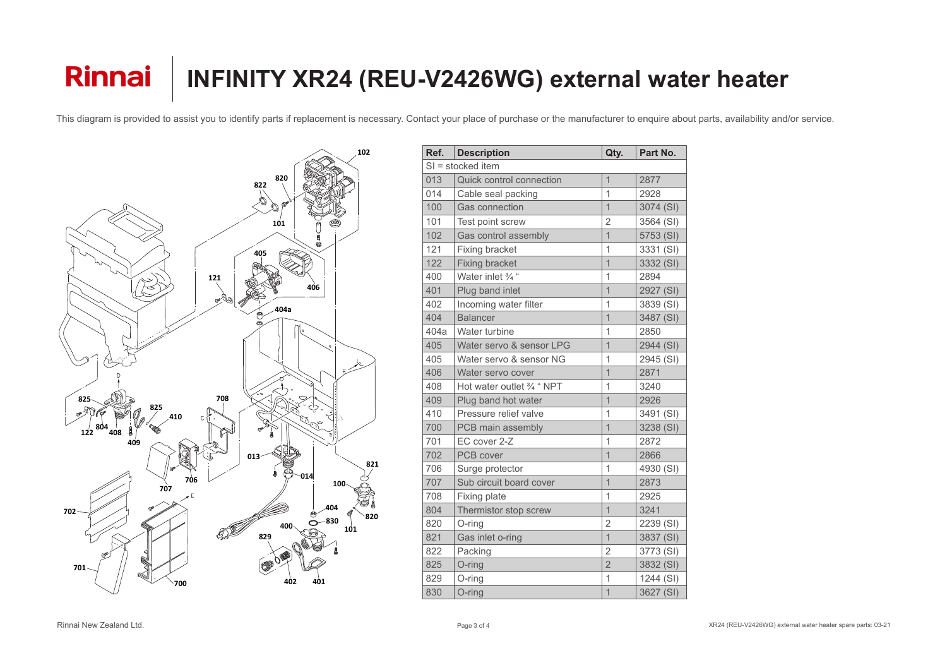

| Ref.                | <b>Description</b>              | Qty.           | Part No.  |  |  |
|---------------------|---------------------------------|----------------|-----------|--|--|
| $SI =$ stocked item |                                 |                |           |  |  |
| 013                 | <b>Quick control connection</b> | $\overline{1}$ | 2877      |  |  |
| 014                 | Cable seal packing              | $\overline{1}$ | 2928      |  |  |
| 100                 | <b>Gas connection</b>           | $\overline{1}$ | 3074 (SI) |  |  |
| 101                 | Test point screw                | $\overline{2}$ | 3564 (SI) |  |  |
| 102                 | <b>Gas control assembly</b>     | $\overline{1}$ | 5753 (SI) |  |  |
| 121                 | <b>Fixing bracket</b>           | 1              | 3331 (SI) |  |  |
| 122                 | <b>Fixing bracket</b>           | $\overline{1}$ | 3332 (SI) |  |  |
| 400                 | Water inlet 3/4 "               | 1              | 2894      |  |  |
| 401                 | Plug band inlet                 | $\overline{1}$ | 2927 (SI) |  |  |
| 402                 | Incoming water filter           | 1              | 3839 (SI) |  |  |
| 404                 | <b>Balancer</b>                 | $\overline{1}$ | 3487 (SI) |  |  |
| 404a                | Water turbine                   | 1              | 2850      |  |  |
| 405                 | Water servo & sensor LPG        | $\overline{1}$ | 2944 (SI) |  |  |
| 405                 | Water servo & sensor NG         | 1              | 2945 (SI) |  |  |
| 406                 | Water servo cover               | $\overline{1}$ | 2871      |  |  |
| 408                 | Hot water outlet 3/4 " NPT      | 1              | 3240      |  |  |
| 409                 | Plug band hot water             | $\overline{1}$ | 2926      |  |  |
| 410                 | Pressure relief valve           | 1              | 3491 (SI) |  |  |
| 700                 | PCB main assembly               | $\overline{1}$ | 3238 (SI) |  |  |
| 701                 | EC cover 2-Z                    | 1              | 2872      |  |  |
| 702                 | <b>PCB</b> cover                | $\overline{1}$ | 2866      |  |  |
| 706                 | Surge protector                 | 1              | 4930 (SI) |  |  |
| 707                 | Sub circuit board cover         | $\overline{1}$ | 2873      |  |  |
| 708                 | <b>Fixing plate</b>             | 1              | 2925      |  |  |
| 804                 | Thermistor stop screw           | $\overline{1}$ | 3241      |  |  |
| 820                 | $O$ -ring                       | $\overline{2}$ | 2239 (SI) |  |  |
| 821                 | Gas inlet o-ring                | $\overline{1}$ | 3837 (SI) |  |  |
| 822                 | Packing                         | $\overline{2}$ | 3773 (SI) |  |  |
| 825                 | O-ring                          | $\overline{2}$ | 3832 (SI) |  |  |
| 829                 | O-ring                          | 1              | 1244 (SI) |  |  |
| 830                 | O-ring                          | 1              | 3627 (SI) |  |  |